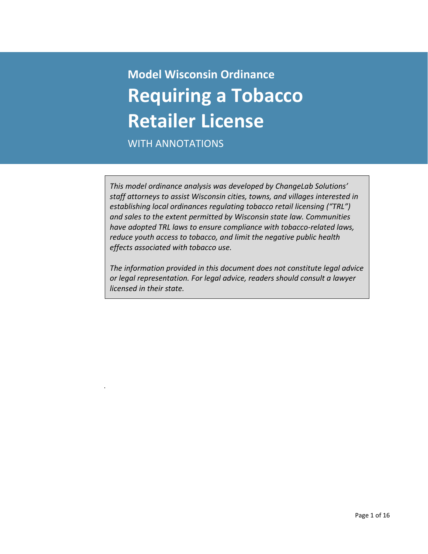# **Model Wisconsin Ordinance Requiring a Tobacco Retailer License**

WITH ANNOTATIONS

.

*This model ordinance analysis was developed by ChangeLab Solutions' staff attorneys to assist Wisconsin cities, towns, and villages interested in establishing local ordinances regulating tobacco retail licensing ("TRL") and sales to the extent permitted by Wisconsin state law. Communities have adopted TRL laws to ensure compliance with tobacco-related laws, reduce youth access to tobacco, and limit the negative public health effects associated with tobacco use.*

*The information provided in this document does not constitute legal advice or legal representation. For legal advice, readers should consult a lawyer licensed in their state.*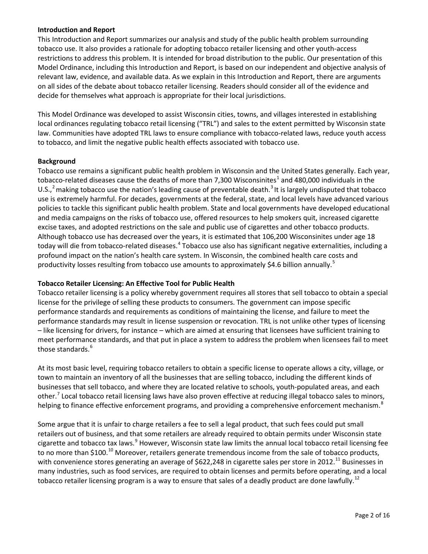## **Introduction and Report**

This Introduction and Report summarizes our analysis and study of the public health problem surrounding tobacco use. It also provides a rationale for adopting tobacco retailer licensing and other youth-access restrictions to address this problem. It is intended for broad distribution to the public. Our presentation of this Model Ordinance, including this Introduction and Report, is based on our independent and objective analysis of relevant law, evidence, and available data. As we explain in this Introduction and Report, there are arguments on all sides of the debate about tobacco retailer licensing. Readers should consider all of the evidence and decide for themselves what approach is appropriate for their local jurisdictions.

This Model Ordinance was developed to assist Wisconsin cities, towns, and villages interested in establishing local ordinances regulating tobacco retail licensing ("TRL") and sales to the extent permitted by Wisconsin state law. Communities have adopted TRL laws to ensure compliance with tobacco-related laws, reduce youth access to tobacco, and limit the negative public health effects associated with tobacco use.

### **Background**

Tobacco use remains a significant public health problem in Wisconsin and the United States generally. Each year, tobacco-related diseases cause the deaths of more than 7,300 Wisconsinites<sup>[1](#page-14-0)</sup> and 480,000 individuals in the U.S.,<sup>[2](#page-14-1)</sup> making tobacco use the nation's leading cause of preventable death.<sup>[3](#page-14-2)</sup> It is largely undisputed that tobacco use is extremely harmful. For decades, governments at the federal, state, and local levels have advanced various policies to tackle this significant public health problem. State and local governments have developed educational and media campaigns on the risks of tobacco use, offered resources to help smokers quit, increased cigarette excise taxes, and adopted restrictions on the sale and public use of cigarettes and other tobacco products. Although tobacco use has decreased over the years, it is estimated that 106,200 Wisconsinites under age 18 today will die from tobacco-related diseases.<sup>[4](#page-14-3)</sup> Tobacco use also has significant negative externalities, including a profound impact on the nation's health care system. In Wisconsin, the combined health care costs and productivity losses resulting from tobacco use amounts to approximately \$4.6 billion annually.<sup>[5](#page-14-4)</sup>

# **Tobacco Retailer Licensing: An Effective Tool for Public Health**

Tobacco retailer licensing is a policy whereby government requires all stores that sell tobacco to obtain a special license for the privilege of selling these products to consumers. The government can impose specific performance standards and requirements as conditions of maintaining the license, and failure to meet the performance standards may result in license suspension or revocation. TRL is not unlike other types of licensing – like licensing for drivers, for instance – which are aimed at ensuring that licensees have sufficient training to meet performance standards, and that put in place a system to address the problem when licensees fail to meet those standards.<sup>[6](#page-14-5)</sup>

At its most basic level, requiring tobacco retailers to obtain a specific license to operate allows a city, village, or town to maintain an inventory of all the businesses that are selling tobacco, including the different kinds of businesses that sell tobacco, and where they are located relative to schools, youth-populated areas, and each other.<sup>[7](#page-14-6)</sup> Local tobacco retail licensing laws have also proven effective at reducing illegal tobacco sales to minors, helping to finance effective enforcement programs, and providing a comprehensive enforcement mechanism.<sup>[8](#page-14-7)</sup>

Some argue that it is unfair to charge retailers a fee to sell a legal product, that such fees could put small retailers out of business, and that some retailers are already required to obtain permits under Wisconsin state cigarette and tobacco tax laws.<sup>[9](#page-14-8)</sup> However, Wisconsin state law limits the annual local tobacco retail licensing fee to no more than \$[10](#page-14-9)0.<sup>10</sup> Moreover, retailers generate tremendous income from the sale of tobacco products, with convenience stores generating an average of \$622,248 in cigarette sales per store in 2012.<sup>[11](#page-14-10)</sup> Businesses in many industries, such as food services, are required to obtain licenses and permits before operating, and a local tobacco retailer licensing program is a way to ensure that sales of a deadly product are done lawfully.<sup>[12](#page-14-11)</sup>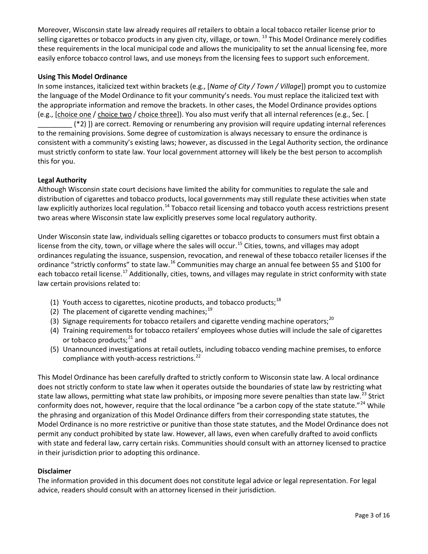Moreover, Wisconsin state law already requires *all* retailers to obtain a local tobacco retailer license prior to selling cigarettes or tobacco products in any given city, village, or town. <sup>[13](#page-15-0)</sup> This Model Ordinance merely codifies these requirements in the local municipal code and allows the municipality to set the annual licensing fee, more easily enforce tobacco control laws, and use moneys from the licensing fees to support such enforcement.

# **Using This Model Ordinance**

In some instances, italicized text within brackets (e.g., [*Name of City / Town / Village*]) prompt you to customize the language of the Model Ordinance to fit your community's needs. You must replace the italicized text with the appropriate information and remove the brackets. In other cases, the Model Ordinance provides options (e.g., [choice one / choice two / choice three]). You also must verify that all internal references (e.g., Sec. [

\_\_\_\_\_\_\_\_\_ (\*2) ]) are correct. Removing or renumbering any provision will require updating internal references to the remaining provisions. Some degree of customization is always necessary to ensure the ordinance is consistent with a community's existing laws; however, as discussed in the Legal Authority section, the ordinance must strictly conform to state law. Your local government attorney will likely be the best person to accomplish this for you.

# **Legal Authority**

Although Wisconsin state court decisions have limited the ability for communities to regulate the sale and distribution of cigarettes and tobacco products, local governments may still regulate these activities when state law explicitly authorizes local regulation.<sup>[14](#page-15-1)</sup> Tobacco retail licensing and tobacco youth access restrictions present two areas where Wisconsin state law explicitly preserves some local regulatory authority.

Under Wisconsin state law, individuals selling cigarettes or tobacco products to consumers must first obtain a license from the city, town, or village where the sales will occur.<sup>[15](#page-15-2)</sup> Cities, towns, and villages may adopt ordinances regulating the issuance, suspension, revocation, and renewal of these tobacco retailer licenses if the ordinance "strictly conforms" to state law.<sup>[16](#page-15-3)</sup> Communities may charge an annual fee between \$5 and \$100 for each tobacco retail license.<sup>[17](#page-15-4)</sup> Additionally, cities, towns, and villages may regulate in strict conformity with state law certain provisions related to:

- (1) Youth access to cigarettes, nicotine products, and tobacco products;<sup>[18](#page-15-5)</sup>
- (2) The placement of cigarette vending machines; $^{19}$  $^{19}$  $^{19}$
- (3) Signage requirements for tobacco retailers and cigarette vending machine operators;<sup>[20](#page-15-7)</sup>
- (4) Training requirements for tobacco retailers' employees whose duties will include the sale of cigarettes or tobacco products; $^{21}$  $^{21}$  $^{21}$  and
- (5) Unannounced investigations at retail outlets, including tobacco vending machine premises, to enforce compliance with youth-access restrictions.<sup>[22](#page-15-9)</sup>

This Model Ordinance has been carefully drafted to strictly conform to Wisconsin state law. A local ordinance does not strictly conform to state law when it operates outside the boundaries of state law by restricting what state law allows, permitting what state law prohibits, or imposing more severe penalties than state law.<sup>[23](#page-15-10)</sup> Strict conformity does not, however, require that the local ordinance "be a carbon copy of the state statute."<sup>[24](#page-15-11)</sup> While the phrasing and organization of this Model Ordinance differs from their corresponding state statutes, the Model Ordinance is no more restrictive or punitive than those state statutes, and the Model Ordinance does not permit any conduct prohibited by state law. However, all laws, even when carefully drafted to avoid conflicts with state and federal law, carry certain risks. Communities should consult with an attorney licensed to practice in their jurisdiction prior to adopting this ordinance.

#### **Disclaimer**

The information provided in this document does not constitute legal advice or legal representation. For legal advice, readers should consult with an attorney licensed in their jurisdiction.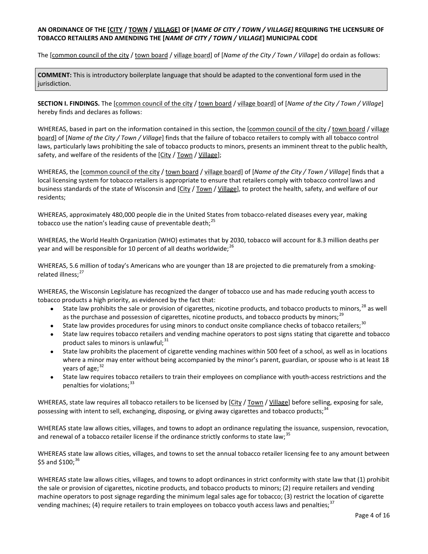### **AN ORDINANCE OF THE [CITY / TOWN / VILLAGE] OF [***NAME OF CITY / TOWN / VILLAGE]* **REQUIRING THE LICENSURE OF TOBACCO RETAILERS AND AMENDING THE [***NAME OF CITY / TOWN / VILLAGE***] MUNICIPAL CODE**

The [common council of the city / town board / village board] of [*Name of the City / Town / Village*] do ordain as follows:

**COMMENT:** This is introductory boilerplate language that should be adapted to the conventional form used in the jurisdiction.

**SECTION I. FINDINGS.** The [common council of the city / town board / village board] of [*Name of the City / Town / Village*] hereby finds and declares as follows:

WHEREAS, based in part on the information contained in this section, the [common council of the city / town board / village board] of [*Name of the City / Town / Village*] finds that the failure of tobacco retailers to comply with all tobacco control laws, particularly laws prohibiting the sale of tobacco products to minors, presents an imminent threat to the public health, safety, and welfare of the residents of the [City / Town / Village];

WHEREAS, the [common council of the city / town board / village board] of [*Name of the City / Town / Village*] finds that a local licensing system for tobacco retailers is appropriate to ensure that retailers comply with tobacco control laws and business standards of the state of Wisconsin and [City / Town / Village], to protect the health, safety, and welfare of our residents;

WHEREAS, approximately 480,000 people die in the United States from tobacco-related diseases every year, making tobacco use the nation's leading cause of preventable death; $^{25}$  $^{25}$  $^{25}$ 

WHEREAS, the World Health Organization (WHO) estimates that by 2030, tobacco will account for 8.3 million deaths per year and will be responsible for 10 percent of all deaths worldwide;  $^{26}$  $^{26}$  $^{26}$ 

WHEREAS, 5.6 million of today's Americans who are younger than 18 are projected to die prematurely from a smoking-related illness;<sup>[27](#page-15-14)</sup>

WHEREAS, the Wisconsin Legislature has recognized the danger of tobacco use and has made reducing youth access to tobacco products a high priority, as evidenced by the fact that:

- State law prohibits the sale or provision of cigarettes, nicotine products, and tobacco products to minors,<sup>[28](#page-15-15)</sup> as well as the purchase and possession of cigarettes, nicotine products, and tobacco products by minors;<sup>[29](#page-15-16)</sup>
- State law provides procedures for using minors to conduct onsite compliance checks of tobacco retailers;<sup>[30](#page-15-17)</sup>
- State law requires tobacco retailers and vending machine operators to post signs stating that cigarette and tobacco product sales to minors is unlawful; $31$
- State law prohibits the placement of cigarette vending machines within 500 feet of a school, as well as in locations where a minor may enter without being accompanied by the minor's parent, guardian, or spouse who is at least 18 vears of age; $32$
- State law requires tobacco retailers to train their employees on compliance with youth-access restrictions and the penalties for violations;  $33$

WHEREAS, state law requires all tobacco retailers to be licensed by [City / Town / Village] before selling, exposing for sale, possessing with intent to sell, exchanging, disposing, or giving away cigarettes and tobacco products;<sup>3</sup>

WHEREAS state law allows cities, villages, and towns to adopt an ordinance regulating the issuance, suspension, revocation, and renewal of a tobacco retailer license if the ordinance strictly conforms to state law;<sup>[35](#page-15-22)</sup>

WHEREAS state law allows cities, villages, and towns to set the annual tobacco retailer licensing fee to any amount between \$5 and \$100; $^{36}$  $^{36}$  $^{36}$ 

WHEREAS state law allows cities, villages, and towns to adopt ordinances in strict conformity with state law that (1) prohibit the sale or provision of cigarettes, nicotine products, and tobacco products to minors; (2) require retailers and vending machine operators to post signage regarding the minimum legal sales age for tobacco; (3) restrict the location of cigarette vending machines; (4) require retailers to train employees on tobacco youth access laws and penalties;<sup>[37](#page-15-24)</sup>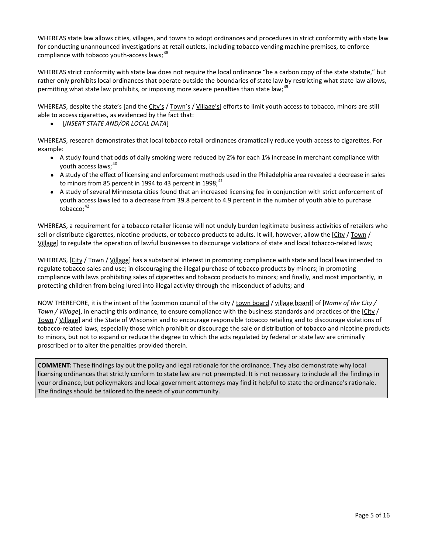WHEREAS state law allows cities, villages, and towns to adopt ordinances and procedures in strict conformity with state law for conducting unannounced investigations at retail outlets, including tobacco vending machine premises, to enforce compliance with tobacco youth-access laws;<sup>[38](#page-15-25)</sup>

WHEREAS strict conformity with state law does not require the local ordinance "be a carbon copy of the state statute," but rather only prohibits local ordinances that operate outside the boundaries of state law by restricting what state law allows, permitting what state law prohibits, or imposing more severe penalties than state law;<sup>[39](#page-15-26)</sup>

WHEREAS, despite the state's [and the City's / Town's / Village's] efforts to limit youth access to tobacco, minors are still able to access cigarettes, as evidenced by the fact that:

• [*INSERT STATE AND/OR LOCAL DATA*]

WHEREAS, research demonstrates that local tobacco retail ordinances dramatically reduce youth access to cigarettes. For example:

- A study found that odds of daily smoking were reduced by 2% for each 1% increase in merchant compliance with youth access laws; [40](#page-15-27)
- A study of the effect of licensing and enforcement methods used in the Philadelphia area revealed a decrease in sales to minors from 85 percent in 1994 to 43 percent in 1998; $^{41}$  $^{41}$  $^{41}$
- A study of several Minnesota cities found that an increased licensing fee in conjunction with strict enforcement of youth access laws led to a decrease from 39.8 percent to 4.9 percent in the number of youth able to purchase tobacco; $42$

WHEREAS, a requirement for a tobacco retailer license will not unduly burden legitimate business activities of retailers who sell or distribute cigarettes, nicotine products, or tobacco products to adults. It will, however, allow the  $[City / Town /$ Village] to regulate the operation of lawful businesses to discourage violations of state and local tobacco-related laws;

WHEREAS, [City / Town / <u>Village]</u> has a substantial interest in promoting compliance with state and local laws intended to regulate tobacco sales and use; in discouraging the illegal purchase of tobacco products by minors; in promoting compliance with laws prohibiting sales of cigarettes and tobacco products to minors; and finally, and most importantly, in protecting children from being lured into illegal activity through the misconduct of adults; and

NOW THEREFORE, it is the intent of the [common council of the city / town board / village board] of [*Name of the City / Town / Village*], in enacting this ordinance, to ensure compliance with the business standards and practices of the [City / Town / Village] and the State of Wisconsin and to encourage responsible tobacco retailing and to discourage violations of tobacco-related laws, especially those which prohibit or discourage the sale or distribution of tobacco and nicotine products to minors, but not to expand or reduce the degree to which the acts regulated by federal or state law are criminally proscribed or to alter the penalties provided therein.

**COMMENT:** These findings lay out the policy and legal rationale for the ordinance. They also demonstrate why local licensing ordinances that strictly conform to state law are not preempted. It is not necessary to include all the findings in your ordinance, but policymakers and local government attorneys may find it helpful to state the ordinance's rationale. The findings should be tailored to the needs of your community.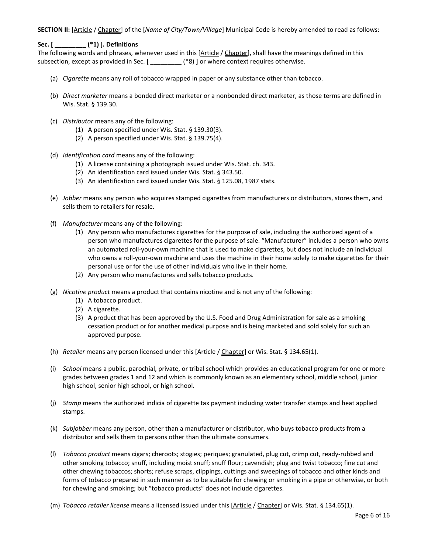**SECTION II:** [Article / Chapter] of the [*Name of City/Town/Village*] Municipal Code is hereby amended to read as follows:

**Sec. [ \_\_\_\_\_\_\_\_\_ (\*1) ]. Definitions**

The following words and phrases, whenever used in this [Article / Chapter], shall have the meanings defined in this subsection, except as provided in Sec. [  $\qquad$  (\*8) ] or where context requires otherwise.

- (a) *Cigarette* means any roll of tobacco wrapped in paper or any substance other than tobacco.
- (b) *Direct marketer* means a bonded direct marketer or a nonbonded direct marketer, as those terms are defined in Wis. Stat. § 139.30.
- (c) *Distributor* means any of the following:
	- (1) A person specified under Wis. Stat. § 139.30(3).
	- (2) A person specified under Wis. Stat. § 139.75(4).
- (d) *Identification card* means any of the following:
	- (1) A license containing a photograph issued under Wis. Stat. ch. 343.
	- (2) An identification card issued under Wis. Stat. § 343.50.
	- (3) An identification card issued under Wis. Stat. § 125.08, 1987 stats.
- (e) *Jobber* means any person who acquires stamped cigarettes from manufacturers or distributors, stores them, and sells them to retailers for resale.
- (f) *Manufacturer* means any of the following:
	- (1) Any person who manufactures cigarettes for the purpose of sale, including the authorized agent of a person who manufactures cigarettes for the purpose of sale. "Manufacturer" includes a person who owns an automated roll-your-own machine that is used to make cigarettes, but does not include an individual who owns a roll-your-own machine and uses the machine in their home solely to make cigarettes for their personal use or for the use of other individuals who live in their home.
	- (2) Any person who manufactures and sells tobacco products.
- (g) *Nicotine product* means a product that contains nicotine and is not any of the following:
	- (1) A tobacco product.
	- (2) A cigarette.
	- (3) A product that has been approved by the U.S. Food and Drug Administration for sale as a smoking cessation product or for another medical purpose and is being marketed and sold solely for such an approved purpose.
- (h) *Retailer* means any person licensed under this [Article / Chapter] or Wis. Stat. § 134.65(1).
- (i) *School* means a public, parochial, private, or tribal school which provides an educational program for one or more grades between grades 1 and 12 and which is commonly known as an elementary school, middle school, junior high school, senior high school, or high school.
- (j) *Stamp* means the authorized indicia of cigarette tax payment including water transfer stamps and heat applied stamps.
- (k) *Subjobber* means any person, other than a manufacturer or distributor, who buys tobacco products from a distributor and sells them to persons other than the ultimate consumers.
- (l) *Tobacco product* means cigars; cheroots; stogies; periques; granulated, plug cut, crimp cut, ready-rubbed and other smoking tobacco; snuff, including moist snuff; snuff flour; cavendish; plug and twist tobacco; fine cut and other chewing tobaccos; shorts; refuse scraps, clippings, cuttings and sweepings of tobacco and other kinds and forms of tobacco prepared in such manner as to be suitable for chewing or smoking in a pipe or otherwise, or both for chewing and smoking; but "tobacco products" does not include cigarettes.
- (m) *Tobacco retailer license* means a licensed issued under this [Article / Chapter] or Wis. Stat. § 134.65(1).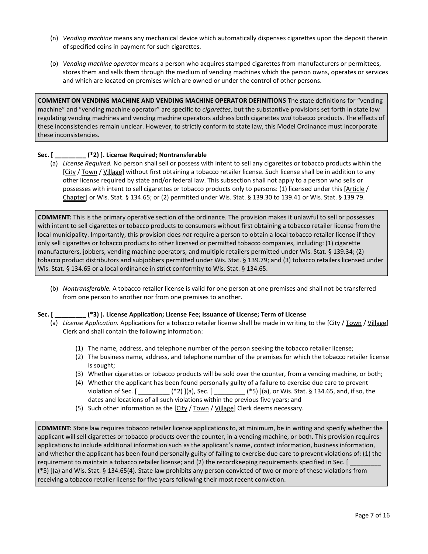- (n) *Vending machine* means any mechanical device which automatically dispenses cigarettes upon the deposit therein of specified coins in payment for such cigarettes.
- (o) *Vending machine operator* means a person who acquires stamped cigarettes from manufacturers or permittees, stores them and sells them through the medium of vending machines which the person owns, operates or services and which are located on premises which are owned or under the control of other persons.

**COMMENT ON VENDING MACHINE AND VENDING MACHINE OPERATOR DEFINITIONS** The state definitions for "vending machine" and "vending machine operator" are specific to *cigarettes*, but the substantive provisions set forth in state law regulating vending machines and vending machine operators address both cigarettes *and* tobacco products. The effects of these inconsistencies remain unclear. However, to strictly conform to state law, this Model Ordinance must incorporate these inconsistencies.

#### **Sec. [ \_\_\_\_\_\_\_\_\_ (\*2) ]. License Required; Nontransferable**

(a) *License Required.* No person shall sell or possess with intent to sell any cigarettes or tobacco products within the [City / Town / Village] without first obtaining a tobacco retailer license. Such license shall be in addition to any other license required by state and/or federal law. This subsection shall not apply to a person who sells or possesses with intent to sell cigarettes or tobacco products only to persons: (1) licensed under this [Article / Chapter] or Wis. Stat. § 134.65; or (2) permitted under Wis. Stat. § 139.30 to 139.41 or Wis. Stat. § 139.79.

**COMMENT:** This is the primary operative section of the ordinance. The provision makes it unlawful to sell or possesses with intent to sell cigarettes or tobacco products to consumers without first obtaining a tobacco retailer license from the local municipality. Importantly, this provision does *not* require a person to obtain a local tobacco retailer license if they only sell cigarettes or tobacco products to other licensed or permitted tobacco companies, including: (1) cigarette manufacturers, jobbers, vending machine operators, and multiple retailers permitted under Wis. Stat. § 139.34; (2) tobacco product distributors and subjobbers permitted under Wis. Stat. § 139.79; and (3) tobacco retailers licensed under Wis. Stat. § 134.65 or a local ordinance in strict conformity to Wis. Stat. § 134.65.

(b) *Nontransferable.* A tobacco retailer license is valid for one person at one premises and shall not be transferred from one person to another nor from one premises to another.

**Sec. [ \_\_\_\_\_\_\_\_\_ (\*3) ]. License Application; License Fee; Issuance of License; Term of License** 

- (a) *License Application.* Applications for a tobacco retailer license shall be made in writing to the [City / Town / Village] Clerk and shall contain the following information:
	- (1) The name, address, and telephone number of the person seeking the tobacco retailer license;
	- (2) The business name, address, and telephone number of the premises for which the tobacco retailer license is sought;
	- (3) Whether cigarettes or tobacco products will be sold over the counter, from a vending machine, or both;
	- (4) Whether the applicant has been found personally guilty of a failure to exercise due care to prevent violation of Sec. [ \_\_\_\_\_\_\_\_\_ (\*2) ](a), Sec. [ \_\_\_\_\_\_\_\_\_ (\*5) ](a), or Wis. Stat. § 134.65, and, if so, the dates and locations of all such violations within the previous five years; and
	- (5) Such other information as the  $[City / Town / Village]$  Clerk deems necessary.

**COMMENT:** State law requires tobacco retailer license applications to, at minimum, be in writing and specify whether the applicant will sell cigarettes or tobacco products over the counter, in a vending machine, or both. This provision requires applications to include additional information such as the applicant's name, contact information, business information, and whether the applicant has been found personally guilty of failing to exercise due care to prevent violations of: (1) the requirement to maintain a tobacco retailer license; and (2) the recordkeeping requirements specified in Sec. [ (\*5) ](a) and Wis. Stat. § 134.65(4). State law prohibits any person convicted of two or more of these violations from receiving a tobacco retailer license for five years following their most recent conviction.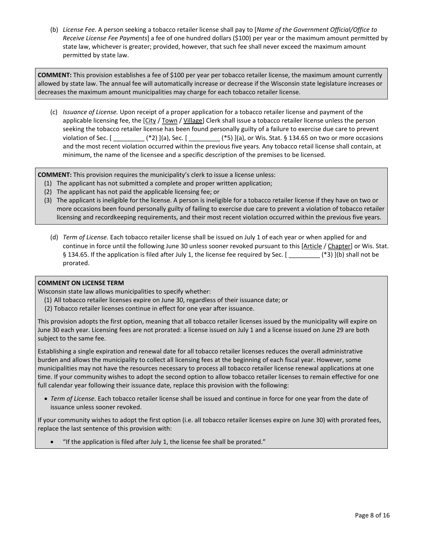(b) *License Fee.* A person seeking a tobacco retailer license shall pay to [*Name of the Government Official/Office to Receive License Fee Payments*] a fee of one hundred dollars (\$100) per year or the maximum amount permitted by state law, whichever is greater; provided, however, that such fee shall never exceed the maximum amount permitted by state law.

**COMMENT:** This provision establishes a fee of \$100 per year per tobacco retailer license, the maximum amount currently allowed by state law. The annual fee will automatically increase or decrease if the Wisconsin state legislature increases or decreases the maximum amount municipalities may charge for each tobacco retailer license.

(c) *Issuance of License.* Upon receipt of a proper application for a tobacco retailer license and payment of the applicable licensing fee, the [City / Town / Village] Clerk shall issue a tobacco retailer license unless the person seeking the tobacco retailer license has been found personally guilty of a failure to exercise due care to prevent violation of Sec. [ \_\_\_\_\_\_\_\_\_ (\*2) ](a), Sec. [ \_\_\_\_\_\_\_\_\_ (\*5) ](a), or Wis. Stat. § 134.65 on two or more occasions and the most recent violation occurred within the previous five years. Any tobacco retail license shall contain, at minimum, the name of the licensee and a specific description of the premises to be licensed.

**COMMENT:** This provision requires the municipality's clerk to issue a license unless:

- (1) The applicant has not submitted a complete and proper written application;
- (2) The applicant has not paid the applicable licensing fee; or
- (3) The applicant is ineligible for the license. A person is ineligible for a tobacco retailer license if they have on two or more occasions been found personally guilty of failing to exercise due care to prevent a violation of tobacco retailer licensing and recordkeeping requirements, and their most recent violation occurred within the previous five years.
	- (d) *Term of License.* Each tobacco retailer license shall be issued on July 1 of each year or when applied for and continue in force until the following June 30 unless sooner revoked pursuant to this [Article / Chapter] or Wis. Stat. § 134.65. If the application is filed after July 1, the license fee required by Sec. [  $(*)$  ) [b) shall not be prorated.

#### **COMMENT ON LICENSE TERM**

Wisconsin state law allows municipalities to specify whether:

- (1) All tobacco retailer licenses expire on June 30, regardless of their issuance date; or
- (2) Tobacco retailer licenses continue in effect for one year after issuance.

This provision adopts the first option, meaning that all tobacco retailer licenses issued by the municipality will expire on June 30 each year. Licensing fees are not prorated: a license issued on July 1 and a license issued on June 29 are both subject to the same fee.

Establishing a single expiration and renewal date for all tobacco retailer licenses reduces the overall administrative burden and allows the municipality to collect all licensing fees at the beginning of each fiscal year. However, some municipalities may not have the resources necessary to process all tobacco retailer license renewal applications at one time. If your community wishes to adopt the second option to allow tobacco retailer licenses to remain effective for one full calendar year following their issuance date, replace this provision with the following:

• *Term of License*. Each tobacco retailer license shall be issued and continue in force for one year from the date of issuance unless sooner revoked.

If your community wishes to adopt the first option (i.e. all tobacco retailer licenses expire on June 30) with prorated fees, replace the last sentence of this provision with:

• "If the application is filed after July 1, the license fee shall be prorated."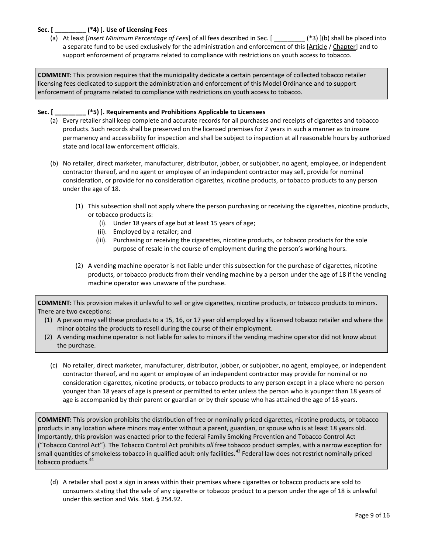#### **Sec. [ \_\_\_\_\_\_\_\_\_ (\*4) ]. Use of Licensing Fees**

(a) At least [*Insert Minimum Percentage of Fees*] of all fees described in Sec. [ \_\_\_\_\_\_\_\_\_ (\*3) ](b) shall be placed into a separate fund to be used exclusively for the administration and enforcement of this [Article / Chapter] and to support enforcement of programs related to compliance with restrictions on youth access to tobacco.

**COMMENT:** This provision requires that the municipality dedicate a certain percentage of collected tobacco retailer licensing fees dedicated to support the administration and enforcement of this Model Ordinance and to support enforcement of programs related to compliance with restrictions on youth access to tobacco.

#### **Sec. [ \_\_\_\_\_\_\_\_\_ (\*5) ]. Requirements and Prohibitions Applicable to Licensees**

- (a) Every retailer shall keep complete and accurate records for all purchases and receipts of cigarettes and tobacco products. Such records shall be preserved on the licensed premises for 2 years in such a manner as to insure permanency and accessibility for inspection and shall be subject to inspection at all reasonable hours by authorized state and local law enforcement officials.
- (b) No retailer, direct marketer, manufacturer, distributor, jobber, or subjobber, no agent, employee, or independent contractor thereof, and no agent or employee of an independent contractor may sell, provide for nominal consideration, or provide for no consideration cigarettes, nicotine products, or tobacco products to any person under the age of 18.
	- (1) This subsection shall not apply where the person purchasing or receiving the cigarettes, nicotine products, or tobacco products is:
		- (i). Under 18 years of age but at least 15 years of age;
		- (ii). Employed by a retailer; and
		- (iii). Purchasing or receiving the cigarettes, nicotine products, or tobacco products for the sole purpose of resale in the course of employment during the person's working hours.
	- (2) A vending machine operator is not liable under this subsection for the purchase of cigarettes, nicotine products, or tobacco products from their vending machine by a person under the age of 18 if the vending machine operator was unaware of the purchase.

**COMMENT:** This provision makes it unlawful to sell or give cigarettes, nicotine products, or tobacco products to minors. There are two exceptions:

- (1) A person may sell these products to a 15, 16, or 17 year old employed by a licensed tobacco retailer and where the minor obtains the products to resell during the course of their employment.
- (2) A vending machine operator is not liable for sales to minors if the vending machine operator did not know about the purchase.
	- (c) No retailer, direct marketer, manufacturer, distributor, jobber, or subjobber, no agent, employee, or independent contractor thereof, and no agent or employee of an independent contractor may provide for nominal or no consideration cigarettes, nicotine products, or tobacco products to any person except in a place where no person younger than 18 years of age is present or permitted to enter unless the person who is younger than 18 years of age is accompanied by their parent or guardian or by their spouse who has attained the age of 18 years.

**COMMENT:** This provision prohibits the distribution of free or nominally priced cigarettes, nicotine products, or tobacco products in any location where minors may enter without a parent, guardian, or spouse who is at least 18 years old. Importantly, this provision was enacted prior to the federal Family Smoking Prevention and Tobacco Control Act ("Tobacco Control Act"). The Tobacco Control Act prohibits *all* free tobacco product samples, with a narrow exception for small quantities of smokeless tobacco in qualified adult-only facilities.<sup>[43](#page-15-30)</sup> Federal law does not restrict nominally priced tobacco products.<sup>[44](#page-15-31)</sup>

(d) A retailer shall post a sign in areas within their premises where cigarettes or tobacco products are sold to consumers stating that the sale of any cigarette or tobacco product to a person under the age of 18 is unlawful under this section and Wis. Stat. § 254.92.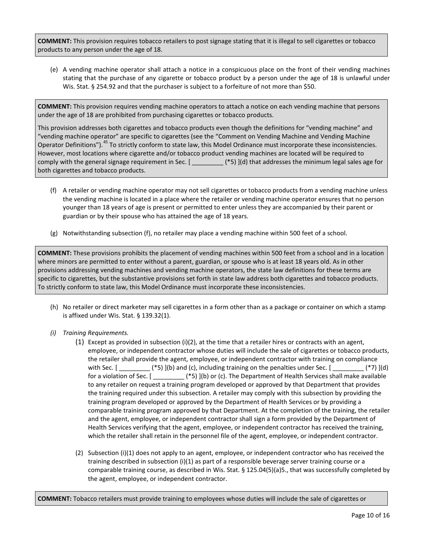**COMMENT:** This provision requires tobacco retailers to post signage stating that it is illegal to sell cigarettes or tobacco products to any person under the age of 18.

(e) A vending machine operator shall attach a notice in a conspicuous place on the front of their vending machines stating that the purchase of any cigarette or tobacco product by a person under the age of 18 is unlawful under Wis. Stat. § 254.92 and that the purchaser is subject to a forfeiture of not more than \$50.

**COMMENT:** This provision requires vending machine operators to attach a notice on each vending machine that persons under the age of 18 are prohibited from purchasing cigarettes or tobacco products.

This provision addresses both cigarettes and tobacco products even though the definitions for "vending machine" and "vending machine operator" are specific to cigarettes (see the "Comment on Vending Machine and Vending Machine Operator Definitions").<sup>[45](#page-15-32)</sup> To strictly conform to state law, this Model Ordinance must incorporate these inconsistencies. However, most locations where cigarette and/or tobacco product vending machines are located will be required to comply with the general signage requirement in Sec. [ \_\_\_\_\_\_\_\_\_ (\*5) ](d) that addresses the minimum legal sales age for both cigarettes and tobacco products.

- (f) A retailer or vending machine operator may not sell cigarettes or tobacco products from a vending machine unless the vending machine is located in a place where the retailer or vending machine operator ensures that no person younger than 18 years of age is present or permitted to enter unless they are accompanied by their parent or guardian or by their spouse who has attained the age of 18 years.
- (g) Notwithstanding subsection (f), no retailer may place a vending machine within 500 feet of a school.

**COMMENT:** These provisions prohibits the placement of vending machines within 500 feet from a school and in a location where minors are permitted to enter without a parent, guardian, or spouse who is at least 18 years old. As in other provisions addressing vending machines and vending machine operators, the state law definitions for these terms are specific to cigarettes, but the substantive provisions set forth in state law address both cigarettes and tobacco products. To strictly conform to state law, this Model Ordinance must incorporate these inconsistencies.

- (h) No retailer or direct marketer may sell cigarettes in a form other than as a package or container on which a stamp is affixed under Wis. Stat. § 139.32(1).
- *(i) Training Requirements.*
	- (1) Except as provided in subsection (i)(2), at the time that a retailer hires or contracts with an agent, employee, or independent contractor whose duties will include the sale of cigarettes or tobacco products, the retailer shall provide the agent, employee, or independent contractor with training on compliance with Sec.  $[\_\_\_\_\_$ (\*5) ](b) and (c), including training on the penalties under Sec.  $[\_\_\_\_\_\_$ (\*7) ](d) for a violation of Sec. [ \_\_\_\_\_\_\_\_\_ (\*5) ](b) or (c). The Department of Health Services shall make available to any retailer on request a training program developed or approved by that Department that provides the training required under this subsection. A retailer may comply with this subsection by providing the training program developed or approved by the Department of Health Services or by providing a comparable training program approved by that Department. At the completion of the training, the retailer and the agent, employee, or independent contractor shall sign a form provided by the Department of Health Services verifying that the agent, employee, or independent contractor has received the training, which the retailer shall retain in the personnel file of the agent, employee, or independent contractor.
	- (2) Subsection (i)(1) does not apply to an agent, employee, or independent contractor who has received the training described in subsection (i)(1) as part of a responsible beverage server training course or a comparable training course, as described in Wis. Stat. § 125.04(5)(a)5., that was successfully completed by the agent, employee, or independent contractor.

**COMMENT:** Tobacco retailers must provide training to employees whose duties will include the sale of cigarettes or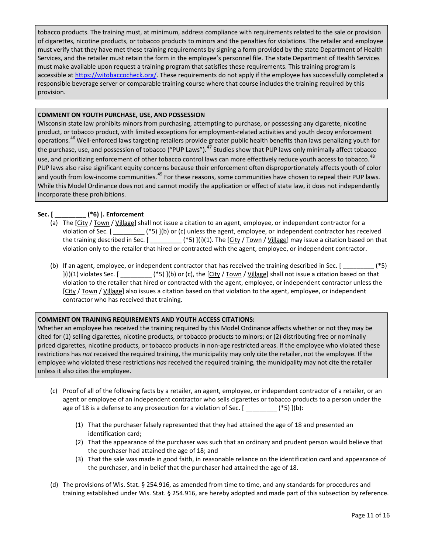tobacco products. The training must, at minimum, address compliance with requirements related to the sale or provision of cigarettes, nicotine products, or tobacco products to minors and the penalties for violations. The retailer and employee must verify that they have met these training requirements by signing a form provided by the state Department of Health Services, and the retailer must retain the form in the employee's personnel file. The state Department of Health Services must make available upon request a training program that satisfies these requirements. This training program is accessible a[t https://witobaccocheck.org/.](https://witobaccocheck.org/) These requirements do not apply if the employee has successfully completed a responsible beverage server or comparable training course where that course includes the training required by this provision.

#### **COMMENT ON YOUTH PURCHASE, USE, AND POSSESSION**

Wisconsin state law prohibits minors from purchasing, attempting to purchase, or possessing any cigarette, nicotine product, or tobacco product, with limited exceptions for employment-related activities and youth decoy enforcement operations.<sup>[46](#page-15-33)</sup> Well-enforced laws targeting retailers provide greater public health benefits than laws penalizing youth for the purchase, use, and possession of tobacco ("PUP Laws").<sup>[47](#page-15-34)</sup> Studies show that PUP laws only minimally affect tobacco use, and prioritizing enforcement of other tobacco control laws can more effectively reduce youth access to tobacco.<sup>[48](#page-15-35)</sup> PUP laws also raise significant equity concerns because their enforcement often disproportionately affects youth of color and youth from low-income communities.<sup>[49](#page-15-36)</sup> For these reasons, some communities have chosen to repeal their PUP laws. While this Model Ordinance does not and cannot modify the application or effect of state law, it does not independently incorporate these prohibitions.

### **Sec. [ \_\_\_\_\_\_\_\_\_ (\*6) ]. Enforcement**

- (a) The [City / Town / Village] shall not issue a citation to an agent, employee, or independent contractor for a violation of Sec.  $[$   $*$   $*$   $*$   $]$   $(b)$  or  $(c)$  unless the agent, employee, or independent contractor has received the training described in Sec.  $[$  \_\_\_\_\_\_\_\_\_\_\_\_(\*5) ](i)(1). The  $[City / Town / Village]$  may issue a citation based on that violation only to the retailer that hired or contracted with the agent, employee, or independent contractor.
- (b) If an agent, employee, or independent contractor that has received the training described in Sec. [ \_\_\_\_\_\_\_\_\_ (\*5) ](i)(1) violates Sec. [ \_\_\_\_\_\_\_\_\_ (\*5) ](b) or (c), the [City / Town / Village] shall not issue a citation based on that violation to the retailer that hired or contracted with the agent, employee, or independent contractor unless the [City / Town / Village] also issues a citation based on that violation to the agent, employee, or independent contractor who has received that training.

#### **COMMENT ON TRAINING REQUIREMENTS AND YOUTH ACCESS CITATIONS:**

Whether an employee has received the training required by this Model Ordinance affects whether or not they may be cited for (1) selling cigarettes, nicotine products, or tobacco products to minors; or (2) distributing free or nominally priced cigarettes, nicotine products, or tobacco products in non-age restricted areas. If the employee who violated these restrictions has *not* received the required training, the municipality may only cite the retailer, not the employee. If the employee who violated these restrictions *has* received the required training, the municipality may not cite the retailer unless it also cites the employee.

- (c) Proof of all of the following facts by a retailer, an agent, employee, or independent contractor of a retailer, or an agent or employee of an independent contractor who sells cigarettes or tobacco products to a person under the age of 18 is a defense to any prosecution for a violation of Sec.  $[$  \_\_\_\_\_\_\_\_\_\_(\*5)](b):
	- (1) That the purchaser falsely represented that they had attained the age of 18 and presented an identification card;
	- (2) That the appearance of the purchaser was such that an ordinary and prudent person would believe that the purchaser had attained the age of 18; and
	- (3) That the sale was made in good faith, in reasonable reliance on the identification card and appearance of the purchaser, and in belief that the purchaser had attained the age of 18.
- (d) The provisions of Wis. Stat. § 254.916, as amended from time to time, and any standards for procedures and training established under Wis. Stat. § 254.916, are hereby adopted and made part of this subsection by reference.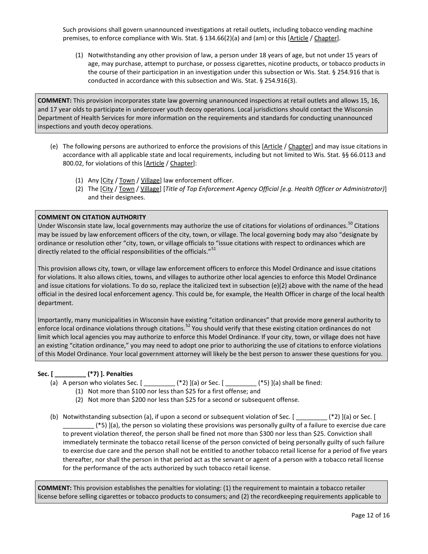Such provisions shall govern unannounced investigations at retail outlets, including tobacco vending machine premises, to enforce compliance with Wis. Stat. § 134.66(2)(a) and (am) or this [Article / Chapter].

(1) Notwithstanding any other provision of law, a person under 18 years of age, but not under 15 years of age, may purchase, attempt to purchase, or possess cigarettes, nicotine products, or tobacco products in the course of their participation in an investigation under this subsection or Wis. Stat. § 254.916 that is conducted in accordance with this subsection and Wis. Stat. § 254.916(3).

**COMMENT:** This provision incorporates state law governing unannounced inspections at retail outlets and allows 15, 16, and 17 year olds to participate in undercover youth decoy operations. Local jurisdictions should contact the Wisconsin Department of Health Services for more information on the requirements and standards for conducting unannounced inspections and youth decoy operations.

- (e) The following persons are authorized to enforce the provisions of this [Article / Chapter] and may issue citations in accordance with all applicable state and local requirements, including but not limited to Wis. Stat. §§ 66.0113 and 800.02, for violations of this [Article / Chapter]:
	- (1) Any [City / Town / Village] law enforcement officer.
	- (2) The [City / Town / Village] [*Title of Top Enforcement Agency Official [e.g. Health Officer or Administrator)*] and their designees.

#### **COMMENT ON CITATION AUTHORITY**

Under Wisconsin state law, local governments may authorize the use of citations for violations of ordinances.<sup>[50](#page-15-37)</sup> Citations may be issued by law enforcement officers of the city, town, or village. The local governing body may also "designate by ordinance or resolution other "city, town, or village officials to "issue citations with respect to ordinances which are directly related to the official responsibilities of the officials."<sup>[51](#page-15-38)</sup>

This provision allows city, town, or village law enforcement officers to enforce this Model Ordinance and issue citations for violations. It also allows cities, towns, and villages to authorize other local agencies to enforce this Model Ordinance and issue citations for violations. To do so, replace the italicized text in subsection (e)(2) above with the name of the head official in the desired local enforcement agency. This could be, for example, the Health Officer in charge of the local health department.

Importantly, many municipalities in Wisconsin have existing "citation ordinances" that provide more general authority to enforce local ordinance violations through citations.<sup>[52](#page-15-39)</sup> You should verify that these existing citation ordinances do not limit which local agencies you may authorize to enforce this Model Ordinance. If your city, town, or village does not have an existing "citation ordinance," you may need to adopt one prior to authorizing the use of citations to enforce violations of this Model Ordinance. Your local government attorney will likely be the best person to answer these questions for you.

# **Sec. [ \_\_\_\_\_\_\_\_\_ (\*7) ]. Penalties**

- (a) A person who violates Sec. [ \_\_\_\_\_\_\_\_\_ (\*2) ](a) or Sec. [ \_\_\_\_\_\_\_\_\_ (\*5) ](a) shall be fined:
	- (1) Not more than \$100 nor less than \$25 for a first offense; and
	- (2) Not more than \$200 nor less than \$25 for a second or subsequent offense.
- (b) Notwithstanding subsection (a), if upon a second or subsequent violation of Sec. [  $(*)$ ] [(a) or Sec. [ \_\_\_\_\_\_\_\_\_ (\*5) ](a), the person so violating these provisions was personally guilty of a failure to exercise due care to prevent violation thereof, the person shall be fined not more than \$300 nor less than \$25. Conviction shall immediately terminate the tobacco retail license of the person convicted of being personally guilty of such failure to exercise due care and the person shall not be entitled to another tobacco retail license for a period of five years thereafter, nor shall the person in that period act as the servant or agent of a person with a tobacco retail license for the performance of the acts authorized by such tobacco retail license.

**COMMENT:** This provision establishes the penalties for violating: (1) the requirement to maintain a tobacco retailer license before selling cigarettes or tobacco products to consumers; and (2) the recordkeeping requirements applicable to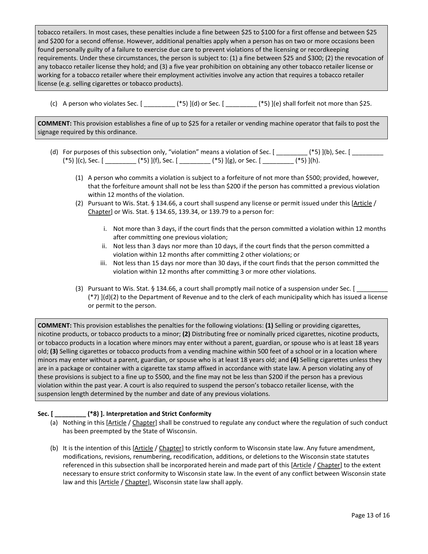tobacco retailers. In most cases, these penalties include a fine between \$25 to \$100 for a first offense and between \$25 and \$200 for a second offense. However, additional penalties apply when a person has on two or more occasions been found personally guilty of a failure to exercise due care to prevent violations of the licensing or recordkeeping requirements. Under these circumstances, the person is subject to: (1) a fine between \$25 and \$300; (2) the revocation of any tobacco retailer license they hold; and (3) a five year prohibition on obtaining any other tobacco retailer license or working for a tobacco retailer where their employment activities involve any action that requires a tobacco retailer license (e.g. selling cigarettes or tobacco products).

(c) A person who violates Sec.  $[$  \_\_\_\_\_\_\_\_\_\_ (\*5) ](d) or Sec.  $[$  \_\_\_\_\_\_\_\_\_ (\*5) ](e) shall forfeit not more than \$25.

**COMMENT:** This provision establishes a fine of up to \$25 for a retailer or vending machine operator that fails to post the signage required by this ordinance.

- (d) For purposes of this subsection only, "violation" means a violation of Sec. [ \_\_\_\_\_\_\_ (\*5) ](b), Sec. [ \_\_\_\_\_\_\_  $(*5)$  ](c), Sec. [ \_\_\_\_\_\_\_\_\_ (\*5) ](f), Sec. [ \_\_\_\_\_\_\_\_ (\*5) ](g), or Sec. [ \_\_\_\_\_\_\_ (\*5) ](h).
	- (1) A person who commits a violation is subject to a forfeiture of not more than \$500; provided, however, that the forfeiture amount shall not be less than \$200 if the person has committed a previous violation within 12 months of the violation.
	- (2) Pursuant to Wis. Stat. § 134.66, a court shall suspend any license or permit issued under this  $[Article /$ Chapter] or Wis. Stat. § 134.65, 139.34, or 139.79 to a person for:
		- i. Not more than 3 days, if the court finds that the person committed a violation within 12 months after committing one previous violation;
		- ii. Not less than 3 days nor more than 10 days, if the court finds that the person committed a violation within 12 months after committing 2 other violations; or
		- iii. Not less than 15 days nor more than 30 days, if the court finds that the person committed the violation within 12 months after committing 3 or more other violations.
	- (3) Pursuant to Wis. Stat. § 134.66, a court shall promptly mail notice of a suspension under Sec.  $[$ (\*7) ](d)(2) to the Department of Revenue and to the clerk of each municipality which has issued a license or permit to the person.

**COMMENT:** This provision establishes the penalties for the following violations: **(1)** Selling or providing cigarettes, nicotine products, or tobacco products to a minor; **(2)** Distributing free or nominally priced cigarettes, nicotine products, or tobacco products in a location where minors may enter without a parent, guardian, or spouse who is at least 18 years old; **(3)** Selling cigarettes or tobacco products from a vending machine within 500 feet of a school or in a location where minors may enter without a parent, guardian, or spouse who is at least 18 years old; and **(4)** Selling cigarettes unless they are in a package or container with a cigarette tax stamp affixed in accordance with state law. A person violating any of these provisions is subject to a fine up to \$500, and the fine may not be less than \$200 if the person has a previous violation within the past year. A court is also required to suspend the person's tobacco retailer license, with the suspension length determined by the number and date of any previous violations.

#### **Sec. [ \_\_\_\_\_\_\_\_\_ (\*8) ]. Interpretation and Strict Conformity**

- (a) Nothing in this [Article / Chapter] shall be construed to regulate any conduct where the regulation of such conduct has been preempted by the State of Wisconsin.
- (b) It is the intention of this [Article / Chapter] to strictly conform to Wisconsin state law. Any future amendment, modifications, revisions, renumbering, recodification, additions, or deletions to the Wisconsin state statutes referenced in this subsection shall be incorporated herein and made part of this [Article / Chapter] to the extent necessary to ensure strict conformity to Wisconsin state law. In the event of any conflict between Wisconsin state law and this [Article / Chapter], Wisconsin state law shall apply.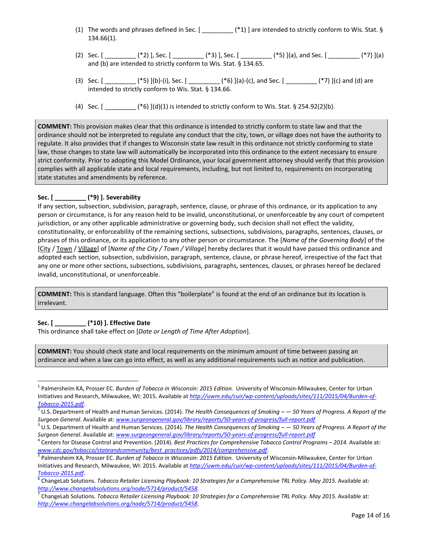- (1) The words and phrases defined in Sec. [ \_\_\_\_\_\_\_\_\_ (\*1) ] are intended to strictly conform to Wis. Stat. § 134.66(1).
- (2) Sec. [  $(*)$  (\*2) ], Sec. [  $(*)$  [3] ], Sec. [  $(*)$  [(a), and Sec. [  $(*)$  [(a) and (b) are intended to strictly conform to Wis. Stat. § 134.65.
- (3) Sec.  $[$   $(*5)$  ](b)-(i), Sec.  $[$   $(*6)$  ](a)-(c), and Sec.  $[$   $(*7)$  ](c) and (d) are intended to strictly conform to Wis. Stat. § 134.66.
- (4) Sec.  $[$  \_\_\_\_\_\_\_\_\_\_\_\_\_\_ (\*6) ](d)(1) is intended to strictly conform to Wis. Stat. § 254.92(2)(b).

**COMMENT:** This provision makes clear that this ordinance is intended to strictly conform to state law and that the ordinance should not be interpreted to regulate any conduct that the city, town, or village does not have the authority to regulate. It also provides that if changes to Wisconsin state law result in this ordinance not strictly conforming to state law, those changes to state law will automatically be incorporated into this ordinance to the extent necessary to ensure strict conformity. Prior to adopting this Model Ordinance, your local government attorney should verify that this provision complies with all applicable state and local requirements, including, but not limited to, requirements on incorporating state statutes and amendments by reference.

### **Sec. [ \_\_\_\_\_\_\_\_\_ (\*9) ]. Severability**

If any section, subsection, subdivision, paragraph, sentence, clause, or phrase of this ordinance, or its application to any person or circumstance, is for any reason held to be invalid, unconstitutional, or unenforceable by any court of competent jurisdiction, or any other applicable administrative or governing body, such decision shall not effect the validity, constitutionality, or enforceability of the remaining sections, subsections, subdivisions, paragraphs, sentences, clauses, or phrases of this ordinance, or its application to any other person or circumstance. The [*Name of the Governing Body*] of the [City / Town / Village] of [*Name of the City / Town / Village*] hereby declares that it would have passed this ordinance and adopted each section, subsection, subdivision, paragraph, sentence, clause, or phrase hereof, irrespective of the fact that any one or more other sections, subsections, subdivisions, paragraphs, sentences, clauses, or phrases hereof be declared invalid, unconstitutional, or unenforceable.

**COMMENT:** This is standard language. Often this "boilerplate" is found at the end of an ordinance but its location is irrelevant.

# **Sec. [ \_\_\_\_\_\_\_\_\_ (\*10) ]. Effective Date**

This ordinance shall take effect on [*Date or Length of Time After Adoption*].

**COMMENT:** You should check state and local requirements on the minimum amount of time between passing an ordinance and when a law can go into effect, as well as any additional requirements such as notice and publication.

 <sup>1</sup> Palmersheim KA, Prosser EC. *Burden of Tobacco in Wisconsin: 2015 Edition.* University of Wisconsin-Milwaukee, Center for Urban Initiatives and Research, Milwaukee, WI: 2015. Available at [http://uwm.edu/cuir/wp-content/uploads/sites/111/2015/04/Burden-of-](http://uwm.edu/cuir/wp-content/uploads/sites/111/2015/04/Burden-of-Tobacco-2015.pdf)*Tobacco-2015.pdf*[.](http://uwm.edu/cuir/wp-content/uploads/sites/111/2015/04/Burden-of-Tobacco-2015.pdf) [2](http://uwm.edu/cuir/wp-content/uploads/sites/111/2015/04/Burden-of-Tobacco-2015.pdf) U.S. Department of Health and Human Services. (2014). *The Health Consequences of Smoking ¬ — 50 Years of Progress. A Report of the* 

Surgeon General. Available at: [www.surgeongeneral.gov/library/reports/50-years-of-progress/full-report.pdf](http://www.surgeongeneral.gov/library/reports/50-years-of-progress/full-report.pdf)<br><sup>3</sup> U.S. Department of Health and Human Services. (2014). The Health Consequences of Smoking ~ - 50 Years of Progre

Surgeon General. Available at: [www.surgeongeneral.gov/library/reports/50-years-of-progress/full-report.pdf](http://www.surgeongeneral.gov/library/reports/50-years-of-progress/full-report.pdf)<br><sup>4</sup> Centers for Disease Control and Prevention. (2014). Best Practices for Comprehensive Tobacco Control Programs –

*[www.cdc.gov/tobacco/stateandcommunity/best\\_practices/pdfs/2014/comprehensive.pdf](http://www.cdc.gov/tobacco/stateandcommunity/best_practices/pdfs/2014/comprehensive.pdf)*. <sup>5</sup> Palmersheim KA, Prosser EC. *Burden of Tobacco in Wisconsin: 2015 Edition.* University of Wisconsin-Milwaukee, Center for Urban Initiatives and Research, Milwaukee, WI: 2015. Available at [http://uwm.edu/cuir/wp-content/uploads/sites/111/2015/04/Burden-of-](http://uwm.edu/cuir/wp-content/uploads/sites/111/2015/04/Burden-of-Tobacco-2015.pdf)*[Tobacco-2015.pdf](http://uwm.edu/cuir/wp-content/uploads/sites/111/2015/04/Burden-of-Tobacco-2015.pdf)*. <sup>6</sup> ChangeLab Solutions. *Tobacco Retailer Licensing Playbook: 10 Strategies for a Comprehensive TRL Policy. May 2015*. Available at:

*http://www.changelabsolutions.org/node/5714/product/5458*.<br><sup>7</sup> ChangeLab Solutions. *Tobacco Retailer Licensing Playbook: 10 Strategies for a Comprehensive TRL Policy. May 2015. Available at:* 

*<http://www.changelabsolutions.org/node/5714/product/5458>*.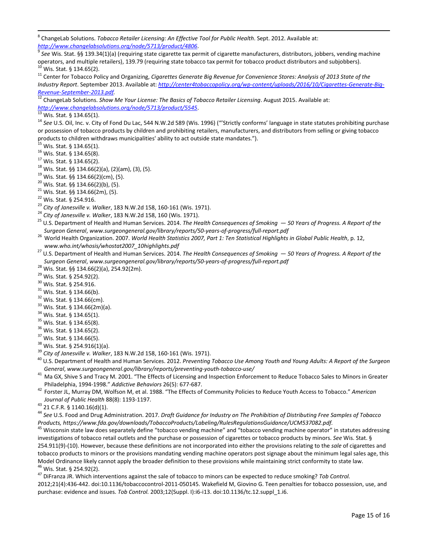<span id="page-14-7"></span>8 ChangeLab Solutions. *Tobacco Retailer Licensing: An Effective Tool for Public Health*. Sept. 2012. Available at:

<span id="page-14-8"></span>http://www.changelabsolutions.org/node/5713/product/4806.<br><sup>9</sup> See Wis. Stat. §§ 139.34(1)(a) (requiring state cigarette tax permit of cigarette manufacturers, distributors, jobbers, vending machine<br>operators, and multiple

<span id="page-14-10"></span><span id="page-14-9"></span><sup>10</sup> Wis. Stat. § 134.65(2).<br><sup>11</sup> Center for Tobacco Policy and Organizing, *Cigarettes Generate Big Revenue for Convenience Stores: Analysis of 2013 State of the Industry Report*. September 2013. Available at: *[http://center4tobaccopolicy.org/wp-content/uploads/2016/10/Cigarettes-Generate-Big-](http://center4tobaccopolicy.org/wp-content/uploads/2016/10/Cigarettes-Generate-Big-Revenue-September-2013.pdf)*

<span id="page-14-11"></span>*[Revenue-September-2013.pdf.](http://center4tobaccopolicy.org/wp-content/uploads/2016/10/Cigarettes-Generate-Big-Revenue-September-2013.pdf)*<br><sup>12</sup> ChangeLab Solutions. *Show Me Your License: The Basics of Tobacco Retailer Licensing. August 2015. Available at:*<br>http://www.changelabsolutions.org/node/5713/product/5545.

 $\frac{13}{13}$  Wis. Stat. § 134.65(1).<br><sup>14</sup> See U.S. Oil, Inc. v. City of Fond Du Lac, 544 N.W.2d 589 (Wis. 1996) ("'Strictly conforms' language in state statutes prohibiting purchase or possession of tobacco products by children and prohibiting retailers, manufacturers, and distributors from selling or giving tobacco products to children withdraws municipalities' ability to act outside state mandates.").  $^{15}$  Wis. Stat. § 134.65(1).

- 
- 
- 
- 
- 
- 
- 
- 
- 
- 
- <sup>15</sup> Wis. Stat. § 134.65(1).<br><sup>16</sup> Wis. Stat. § 134.65(8).<br><sup>17</sup> Wis. Stat. § 134.66(2)(a), (2)(am), (3), (5).<br><sup>19</sup> Wis. Stat. §§ 134.66(2)(cm), (5).<br><sup>20</sup> Wis. Stat. §§ 134.66(2)(cm), (5).<br><sup>21</sup> Wis. Stat. §§ 134.66(2)(b), (
- Surgeon General, www.surgeongeneral.gov/library/reports/50-years-of-progress/full-report.pdf<br><sup>26</sup> World Health Organization. 2007. World Health Statistics 2007, Part 1: Ten Statistical Highlights in Global Public Health, p
- *[www.who.int/whosis/whostat2007\\_10highlights.pdf](http://www.who.int/whosis/whostat2007_10highlights.pdf)* <sup>27</sup> U.S. Department of Health and Human Services. 2014. *The Health Consequences of Smoking — 50 Years of Progress. A Report of the*
- 
- 
- 
- 
- 
- 
- 
- 
- 
- 
- 
- 
- Surgeon General, www.surgeongeneral.gov/library/reports/50-years-of-progress/full-report.pdf<br><sup>28</sup> Wis. Stat. §§ 134.66(2)(a), 254.92(2)m).<br><sup>30</sup> Wis. Stat. §§ 134.66(2)(a), 254.92(2)m).<br><sup>30</sup> Wis. Stat.§§ 134.66(b).<br><sup>33</sup> Wis
- General, www.surgeongeneral.gov/library/reports/preventing-youth-tobacco-use/<br><sup>41</sup> Ma GX, Shive S and Tracy M. 2001. "The Effects of Licensing and Inspection Enforcement to Reduce Tobacco Sales to Minors in Greater
- <span id="page-14-0"></span>Philadelphia, 1994-1998." *Addictive Behaviors* 26(5): 677-687. <sup>42</sup> Forster JL, Murray DM, Wolfson M, et al. 1988. "The Effects of Community Policies to Reduce Youth Access to Tobacco." *American*
- <span id="page-14-1"></span>

Journal of Public Health 88(8): 1193-1197.<br><sup>43</sup> 21 C.F.R. § 1140.16(d)(1).<br><sup>44</sup> See U.S. Food and Drug Administration. 2017. Draft Guidance for Industry on The Prohibition of Distributing Free Samples of Tobacco *Products, https://www.fda.gov/downloads/TobaccoProducts/Labeling/RulesRegulationsGuidance/UCM537082.pdf.*

<span id="page-14-3"></span><span id="page-14-2"></span><sup>45</sup> Wisconsin state law does separately define "tobacco vending machine" and "tobacco vending machine operator" in statutes addressing investigations of tobacco retail outlets and the purchase or possession of cigarettes or tobacco products by minors. *See* Wis. Stat. § 254.911(9)-(10). However, because these definitions are not incorporated into either the provisions relating to the *sale* of cigarettes and tobacco products to minors or the provisions mandating vending machine operators post signage about the minimum legal sales age, this Model Ordinance likely cannot apply the broader definition to these provisions while maintaining strict conformity to state law.<br><sup>46</sup> Wis. Stat. § 254.92(2).<br><sup>47</sup> DiFranza JR. Which interventions against the sale of tobac

<span id="page-14-5"></span><span id="page-14-4"></span>

<span id="page-14-6"></span>2012;21(4):436-442. doi:10.1136/tobaccocontrol-2011-050145. Wakefield M, Giovino G. Teen penalties for tobacco possession, use, and purchase: evidence and issues. *Tob Control.* 2003;12(Suppl. I):i6-i13. doi:10.1136/tc.12.suppl\_1.i6.